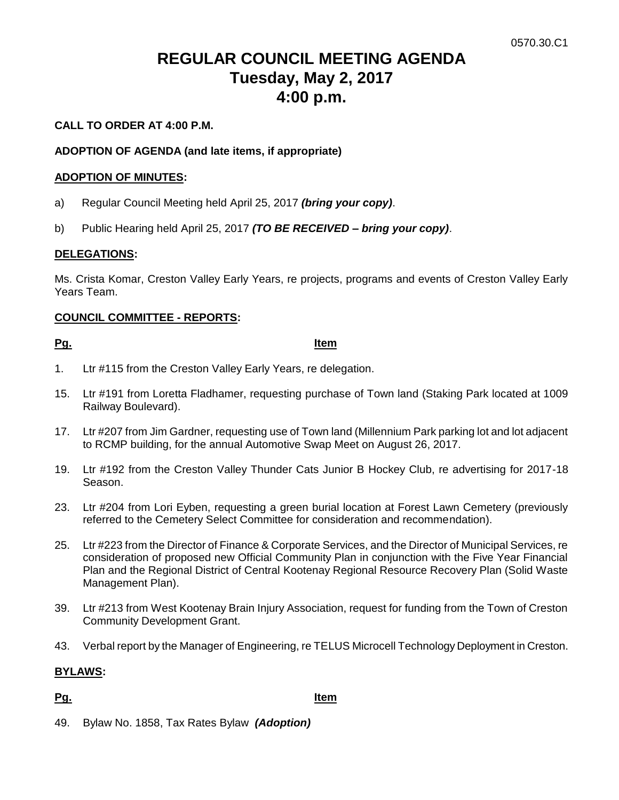# **REGULAR COUNCIL MEETING AGENDA Tuesday, May 2, 2017 4:00 p.m.**

#### **CALL TO ORDER AT 4:00 P.M.**

#### **ADOPTION OF AGENDA (and late items, if appropriate)**

#### **ADOPTION OF MINUTES:**

- a) Regular Council Meeting held April 25, 2017 *(bring your copy)*.
- b) Public Hearing held April 25, 2017 *(TO BE RECEIVED – bring your copy)*.

#### **DELEGATIONS:**

Ms. Crista Komar, Creston Valley Early Years, re projects, programs and events of Creston Valley Early Years Team.

#### **COUNCIL COMMITTEE - REPORTS:**

#### **Pg. Item**

- 1. Ltr #115 from the Creston Valley Early Years, re delegation.
- 15. Ltr #191 from Loretta Fladhamer, requesting purchase of Town land (Staking Park located at 1009 Railway Boulevard).
- 17. Ltr #207 from Jim Gardner, requesting use of Town land (Millennium Park parking lot and lot adjacent to RCMP building, for the annual Automotive Swap Meet on August 26, 2017.
- 19. Ltr #192 from the Creston Valley Thunder Cats Junior B Hockey Club, re advertising for 2017-18 Season.
- 23. Ltr #204 from Lori Eyben, requesting a green burial location at Forest Lawn Cemetery (previously referred to the Cemetery Select Committee for consideration and recommendation).
- 25. Ltr #223 from the Director of Finance & Corporate Services, and the Director of Municipal Services, re consideration of proposed new Official Community Plan in conjunction with the Five Year Financial Plan and the Regional District of Central Kootenay Regional Resource Recovery Plan (Solid Waste Management Plan).
- 39. Ltr #213 from West Kootenay Brain Injury Association, request for funding from the Town of Creston Community Development Grant.
- 43. Verbal report by the Manager of Engineering, re TELUS Microcell Technology Deployment in Creston.

#### **BYLAWS:**

### **Pg. Item**

49. Bylaw No. 1858, Tax Rates Bylaw *(Adoption)*